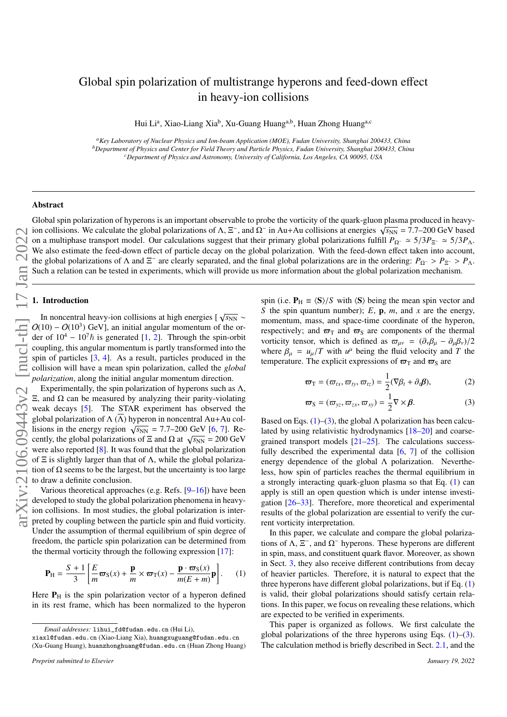# Global spin polarization of multistrange hyperons and feed-down effect in heavy-ion collisions

Hui Li<sup>a</sup>, Xiao-Liang Xia<sup>b</sup>, Xu-Guang Huang<sup>a,b</sup>, Huan Zhong Huang<sup>a,c</sup>

*<sup>a</sup>Key Laboratory of Nuclear Physics and Ion-beam Application (MOE), Fudan University, Shanghai 200433, China <sup>b</sup>Department of Physics and Center for Field Theory and Particle Physics, Fudan University, Shanghai 200433, China <sup>c</sup>Department of Physics and Astronomy, University of California, Los Angeles, CA 90095, USA*

## Abstract

Global spin polarization of hyperons is an important observable to probe the vorticity of the quark-gluon plasma produced in heavy- $\overline{O}$  obtains. We calculate the global polarizations of Λ,  $\Xi^-$ , and  $\Omega^-$  in Au+Au collisions at energies  $\sqrt{s_{NN}}$  = 7.7–200 GeV based in collisions. on a multiphase transport model. Our calculations suggest that their primary global polarizations fulfill *<sup>P</sup>*Ω<sup>−</sup> ' <sup>5</sup>/3*P*Ξ<sup>−</sup> ' <sup>5</sup>/3*P*Λ. We also estimate the feed-down effect of particle decay on the global polarization. With the feed-down effect taken into account, the global polarizations of  $\Lambda$  and  $\Xi^-$  are clearly separated, and the final global polarizations are in the ordering:  $P_{\Omega^-} > P_{\Xi^-} > P_{\Lambda}$ .<br>Such a relation can be tested in experiments, which will provide us more inf Such a relation can be tested in experiments, which will provide us more information about the global polarization mechanism.

### 1. Introduction

In noncentral heavy-ion collisions at high energies [  $\sqrt{s_{NN}}$  ∼  $O(10) - O(10^3)$  $O(10) - O(10^3)$  GeV], an initial angular momentum of the order of  $10^4 - 10^7 \hbar$  is generated [\[1,](#page-4-0) [2\]](#page-4-1). Through the spin-orbit coupling, this angular momentum is partly transformed into the spin of particles [\[3,](#page-4-2) [4\]](#page-4-3). As a result, particles produced in the collision will have a mean spin polarization, called the *global polarization*, along the initial angular momentum direction.

Experimentally, the spin polarization of hyperons such as  $\Lambda$ , Ξ, and Ω can be measured by analyzing their parity-violating weak decays [\[5\]](#page-4-4). The STAR experiment has observed the global polarization of  $\Lambda(\overline{\Lambda})$  hyperon in noncentral Au+Au colgrobal polarization of  $\Lambda$  ( $\Lambda$ ) hy<br>lisions in the energy region  $\sqrt$ lisions in the energy region  $\sqrt{s_{NN}} = 7.7{\text -}200 \text{ GeV}$  [\[6,](#page-4-5) [7\]](#page-4-6). Remsions in the energy region  $\sqrt{s_{NN}}$  –  $\frac{1.7-200 \text{ GeV}}{10.7}$  (0,  $\frac{1.7}{1.7}$  Ke-cently, the global polarizations of  $\Xi$  and  $\Omega$  at  $\sqrt{s_{NN}}$  = 200 GeV were also reported [\[8\]](#page-4-7). It was found that the global polarization of  $\Xi$  is slightly larger than that of  $\Lambda$ , while the global polarization of  $\Omega$  seems to be the largest, but the uncertainty is too large to draw a definite conclusion.

Various theoretical approaches (e.g. Refs. [\[9–](#page-4-8)[16\]](#page-4-9)) have been developed to study the global polarization phenomena in heavyion collisions. In most studies, the global polarization is interpreted by coupling between the particle spin and fluid vorticity. Under the assumption of thermal equilibrium of spin degree of freedom, the particle spin polarization can be determined from the thermal vorticity through the following expression [\[17\]](#page-4-10):

<span id="page-0-0"></span>
$$
\mathbf{P}_{\mathrm{H}} = \frac{S+1}{3} \left[ \frac{E}{m} \boldsymbol{\varpi}_{\mathrm{S}}(x) + \frac{\mathbf{p}}{m} \times \boldsymbol{\varpi}_{\mathrm{T}}(x) - \frac{\mathbf{p} \cdot \boldsymbol{\varpi}_{\mathrm{S}}(x)}{m(E+m)} \mathbf{p} \right]. \tag{1}
$$

Here  $P<sub>H</sub>$  is the spin polarization vector of a hyperon defined in its rest frame, which has been normalized to the hyperon

xiaxl@fudan.edu.cn (Xiao-Liang Xia), huangxuguang@fudan.edu.cn (Xu-Guang Huang), huanzhonghuang@fudan.edu.cn (Huan Zhong Huang) spin (i.e.  $P_H = \langle S \rangle / S$  with  $\langle S \rangle$  being the mean spin vector and *S* the spin quantum number); *E*, p, *m*, and *x* are the energy, momentum, mass, and space-time coordinate of the hyperon, respectively; and  $\varpi$ <sub>T</sub> and  $\varpi$ <sub>S</sub> are components of the thermal vorticity tensor, which is defined as  $\bar{\omega}_{uv} = (\partial_v \beta_u - \partial_u \beta_v)/2$ where  $\beta_{\mu} = u_{\mu}/T$  with  $u^{\mu}$  being the fluid velocity and *T* the temperature. The explicit expressions of  $\pi_{\text{TR}}$  and  $\pi_{\text{CR}}$  are temperature. The explicit expressions of  $\varpi$  and  $\varpi$ <sub>S</sub> are

<span id="page-0-2"></span><span id="page-0-1"></span>
$$
\boldsymbol{\varpi}_{\mathrm{T}} = (\varpi_{tx}, \varpi_{ty}, \varpi_{tz}) = \frac{1}{2} (\nabla \beta_t + \partial_t \boldsymbol{\beta}), \qquad (2)
$$

$$
\boldsymbol{\varpi}_{\mathcal{S}} = (\varpi_{yz}, \varpi_{zx}, \varpi_{xy}) = \frac{1}{2} \nabla \times \boldsymbol{\beta}.
$$
 (3)

Based on Eqs. [\(1\)](#page-0-0)–[\(3\)](#page-0-1), the global  $\Lambda$  polarization has been calculated by using relativistic hydrodynamics [\[18–](#page-4-11)[20\]](#page-5-0) and coarsegrained transport models [\[21–](#page-5-1)[25\]](#page-5-2). The calculations successfully described the experimental data [\[6,](#page-4-5) [7\]](#page-4-6) of the collision energy dependence of the global Λ polarization. Nevertheless, how spin of particles reaches the thermal equilibrium in a strongly interacting quark-gluon plasma so that Eq. [\(1\)](#page-0-0) can apply is still an open question which is under intense investigation [\[26–](#page-5-3)[33\]](#page-5-4). Therefore, more theoretical and experimental results of the global polarization are essential to verify the current vorticity interpretation.

In this paper, we calculate and compare the global polarizations of  $\Lambda$ ,  $\Xi^-$ , and  $\Omega^-$  hyperons. These hyperons are different in spin, mass, and constituent quark flavor. Moreover, as shown in Sect. [3,](#page-2-0) they also receive different contributions from decay of heavier particles. Therefore, it is natural to expect that the three hyperons have different global polarizations, but if Eq. [\(1\)](#page-0-0) is valid, their global polarizations should satisfy certain relations. In this paper, we focus on revealing these relations, which are expected to be verified in experiments.

This paper is organized as follows. We first calculate the global polarizations of the three hyperons using Eqs.  $(1)$ – $(3)$ . The calculation method is briefly described in Sect. [2.1,](#page-1-0) and the

*Email addresses:* lihui\_fd@fudan.edu.cn (Hui Li),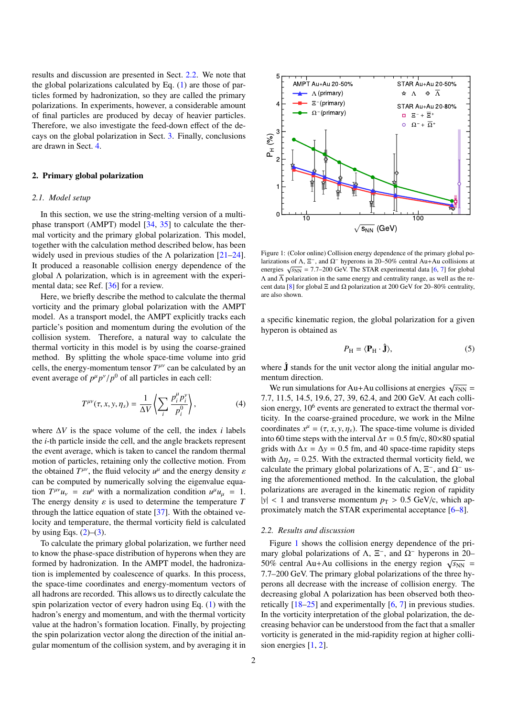results and discussion are presented in Sect. [2.2.](#page-1-1) We note that the global polarizations calculated by Eq. [\(1\)](#page-0-0) are those of particles formed by hadronization, so they are called the primary polarizations. In experiments, however, a considerable amount of final particles are produced by decay of heavier particles. Therefore, we also investigate the feed-down effect of the decays on the global polarization in Sect. [3.](#page-2-0) Finally, conclusions are drawn in Sect. [4.](#page-4-12)

### <span id="page-1-3"></span>2. Primary global polarization

#### <span id="page-1-0"></span>*2.1. Model setup*

In this section, we use the string-melting version of a multiphase transport (AMPT) model [\[34,](#page-5-5) [35\]](#page-5-6) to calculate the thermal vorticity and the primary global polarization. This model, together with the calculation method described below, has been widely used in previous studies of the  $\Lambda$  polarization [\[21–](#page-5-1)[24\]](#page-5-7). It produced a reasonable collision energy dependence of the global Λ polarization, which is in agreement with the experimental data; see Ref. [\[36\]](#page-5-8) for a review.

Here, we briefly describe the method to calculate the thermal vorticity and the primary global polarization with the AMPT model. As a transport model, the AMPT explicitly tracks each particle's position and momentum during the evolution of the collision system. Therefore, a natural way to calculate the thermal vorticity in this model is by using the coarse-grained method. By splitting the whole space-time volume into grid cells, the energy-momentum tensor  $T^{\mu\nu}$  can be calculated by an event average of  $p^{\mu} p^{\nu} / p^0$  of all particles in each cell:

$$
T^{\mu\nu}(\tau, x, y, \eta_s) = \frac{1}{\Delta V} \left\langle \sum_i \frac{p_i^{\mu} p_i^{\nu}}{p_i^0} \right\rangle, \tag{4}
$$

where ∆*V* is the space volume of the cell, the index *i* labels the *i*-th particle inside the cell, and the angle brackets represent the event average, which is taken to cancel the random thermal motion of particles, retaining only the collective motion. From the obtained  $T^{\mu\nu}$ , the fluid velocity  $u^{\mu}$  and the energy density  $\varepsilon$ <br>can be computed by numerically solving the eigenvalue equacan be computed by numerically solving the eigenvalue equation  $T^{\mu\nu}u_{\nu} = \varepsilon u^{\mu}$  with a normalization condition  $u^{\mu}u_{\mu} = 1$ .<br>The energy density s is used to determine the temperature T The energy density  $\varepsilon$  is used to determine the temperature  $T$ through the lattice equation of state [\[37\]](#page-5-9). With the obtained velocity and temperature, the thermal vorticity field is calculated by using Eqs.  $(2)$ – $(3)$ .

To calculate the primary global polarization, we further need to know the phase-space distribution of hyperons when they are formed by hadronization. In the AMPT model, the hadronization is implemented by coalescence of quarks. In this process, the space-time coordinates and energy-momentum vectors of all hadrons are recorded. This allows us to directly calculate the spin polarization vector of every hadron using Eq. [\(1\)](#page-0-0) with the hadron's energy and momentum, and with the thermal vorticity value at the hadron's formation location. Finally, by projecting the spin polarization vector along the direction of the initial angular momentum of the collision system, and by averaging it in



<span id="page-1-2"></span>Figure 1: (Color online) Collision energy dependence of the primary global polarizations of  $\Lambda$ ,  $\Xi^-$ , and  $\Omega^-$  hyperons in 20–50% central Au+Au collisions at energies  $\sqrt{s_{NN}}$  = 7.7–200 GeV. The STAR experimental data [\[6,](#page-4-5) [7\]](#page-4-6) for global  $Λ$  and  $Λ$  polarization in the same energy and centrality range, as well as the re-cent data [\[8\]](#page-4-7) for global Ξ and Ω polarization at 200 GeV for 20–80% centrality, are also shown.

a specific kinematic region, the global polarization for a given hyperon is obtained as

$$
P_{\rm H} = \langle \mathbf{P}_{\rm H} \cdot \hat{\mathbf{J}} \rangle,\tag{5}
$$

where  $\hat{\mathbf{J}}$  stands for the unit vector along the initial angular momentum direction.

 $\frac{1}{\sqrt{s_{NN}}}$  = We run simulations for Au+Au collisions at energies  $\sqrt{s_{NN}}$ 7.7, 11.5, 14.5, 19.6, 27, 39, 62.4, and 200 GeV. At each collision energy, 10<sup>6</sup> events are generated to extract the thermal vorticity. In the coarse-grained procedure, we work in the Milne coordinates  $x^{\mu} = (\tau, x, y, \eta_s)$ . The space-time volume is divided<br>into 60 time steps with the interval  $\Delta \tau = 0.5$  fm/c, 80×80 spatial into 60 time steps with the interval  $\Delta \tau = 0.5$  fm/c, 80×80 spatial grids with  $\Delta x = \Delta y = 0.5$  fm, and 40 space-time rapidity steps with  $\Delta \eta_s = 0.25$ . With the extracted thermal vorticity field, we calculate the primary global polarizations of  $\Lambda$ ,  $\Xi^-$ , and  $\Omega^-$  using the aforementioned method. In the calculation, the global polarizations are averaged in the kinematic region of rapidity  $|y|$  < 1 and transverse momentum  $p_T > 0.5$  GeV/c, which approximately match the STAR experimental acceptance [\[6–](#page-4-5)[8\]](#page-4-7).

## <span id="page-1-1"></span>*2.2. Results and discussion*

Figure [1](#page-1-2) shows the collision energy dependence of the primary global polarizations of Λ,  $\Xi^-$ , and  $\Omega^-$  hyperons in 20-50% central Au+Au collisions in the energy region  $\sqrt{s_{NN}}$  = 7.7–200 GeV. The primary global polarizations of the three hyperons all decrease with the increase of collision energy. The decreasing global Λ polarization has been observed both theoretically [\[18](#page-4-11)[–25\]](#page-5-2) and experimentally [\[6,](#page-4-5) [7\]](#page-4-6) in previous studies. In the vorticity interpretation of the global polarization, the decreasing behavior can be understood from the fact that a smaller vorticity is generated in the mid-rapidity region at higher collision energies [\[1,](#page-4-0) [2\]](#page-4-1).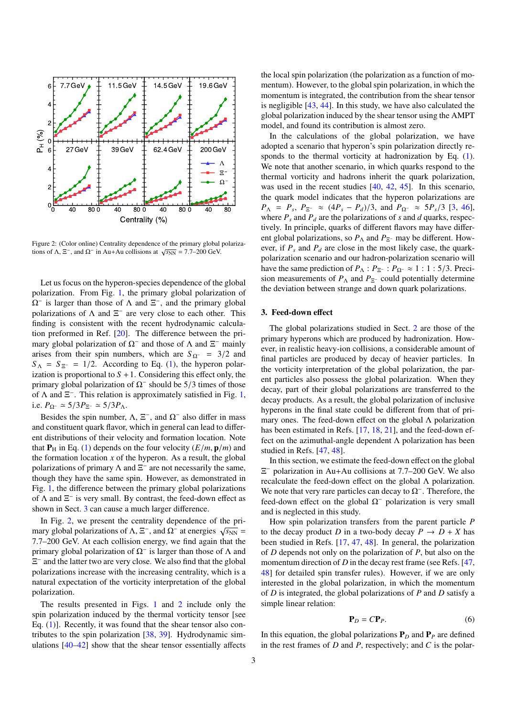

<span id="page-2-1"></span>Figure 2: (Color online) Centrality dependence of the primary global polariza- $T_{\text{B}}$  and Ω<sup>−</sup> in Au+Au collisions at  $\sqrt{s_{\text{NN}}}$  = 7.7–200 GeV.

Let us focus on the hyperon-species dependence of the global polarization. From Fig. [1,](#page-1-2) the primary global polarization of  $\Omega$ <sup>-</sup> is larger than those of  $\Lambda$  and  $\Xi$ <sup>-</sup>, and the primary global polarizations of  $\Lambda$  and  $\Xi^-$  are very close to each other. This finding is consistent with the recent hydrodynamic calculation preformed in Ref. [\[20\]](#page-5-0). The difference between the primary global polarization of  $\Omega^-$  and those of  $\Lambda$  and  $\Xi^-$  mainly arises from their spin numbers, which are  $S_{\Omega^-} = 3/2$  and  $S_{\Lambda} = S_{\Xi^-} = 1/2$ . According to Eq. [\(1\)](#page-0-0), the hyperon polarization is proportional to  $S + 1$ . Considering this effect only, the primary global polarization of  $\Omega$ <sup>-</sup> should be 5/3 times of those of A and  $\Xi$ <sup>-</sup> This relation is approximately satisfied in Fig. 1. of  $\Lambda$  and  $\Xi^-$ . This relation is approximately satisfied in Fig. [1,](#page-1-2) i.e.  $P_{\Omega^-}$   $\simeq 5/3P_{\Xi^-}$   $\simeq 5/3P_{\Lambda}$ .

Besides the spin number,  $\Lambda$ ,  $\Xi^-$ , and  $\Omega^-$  also differ in mass and constituent quark flavor, which in general can lead to different distributions of their velocity and formation location. Note that  $P_H$  in Eq. [\(1\)](#page-0-0) depends on the four velocity  $(E/m, \mathbf{p}/m)$  and the formation location  $x$  of the hyperon. As a result, the global polarizations of primary  $\Lambda$  and  $\Xi^-$  are not necessarily the same, though they have the same spin. However, as demonstrated in Fig. [1,](#page-1-2) the difference between the primary global polarizations of Λ and  $\Xi^-$  is very small. By contrast, the feed-down effect as shown in Sect. [3](#page-2-0) can cause a much larger difference.

In Fig. [2,](#page-2-1) we present the centrality dependence of the primary global polarizations of  $Λ$ ,  $\Xi^-$ , and  $Ω^-$  at energies  $\sqrt{s_{NN}}$  = 7.7–200 GeV. At each collision energy, we find again that the primary global polarization of  $\Omega^-$  is larger than those of  $\Lambda$  and  $\Xi^-$  and the latter two are very close. We also find that the global polarizations increase with the increasing centrality, which is a natural expectation of the vorticity interpretation of the global polarization.

The results presented in Figs. [1](#page-1-2) and [2](#page-2-1) include only the spin polarization induced by the thermal vorticity tensor [see Eq. [\(1\)](#page-0-0)]. Recently, it was found that the shear tensor also contributes to the spin polarization [\[38,](#page-5-10) [39\]](#page-5-11). Hydrodynamic simulations [\[40–](#page-5-12)[42\]](#page-5-13) show that the shear tensor essentially affects

the local spin polarization (the polarization as a function of momentum). However, to the global spin polarization, in which the momentum is integrated, the contribution from the shear tensor is negligible [\[43,](#page-5-14) [44\]](#page-5-15). In this study, we have also calculated the global polarization induced by the shear tensor using the AMPT model, and found its contribution is almost zero.

In the calculations of the global polarization, we have adopted a scenario that hyperon's spin polarization directly responds to the thermal vorticity at hadronization by Eq. [\(1\)](#page-0-0). We note that another scenario, in which quarks respond to the thermal vorticity and hadrons inherit the quark polarization, was used in the recent studies [\[40,](#page-5-12) [42,](#page-5-13) [45\]](#page-5-16). In this scenario, the quark model indicates that the hyperon polarizations are  $P_{\Lambda} = P_s$ ,  $P_{\Xi}$ - ≈ ( $4P_s - P_d$ )/3, and  $P_{\Omega}$ - ≈ 5 $P_s$ /3 [\[3,](#page-4-2) [46\]](#page-5-17),<br>where *P* and *P*<sub>i</sub> are the polarizations of s and *d* quarks respectively where  $P_s$  and  $P_d$  are the polarizations of *s* and *d* quarks, respectively. In principle, quarks of different flavors may have different global polarizations, so  $P_\Lambda$  and  $P_{\Xi^-}$  may be different. However, if  $P_s$  and  $P_d$  are close in the most likely case, the quarkpolarization scenario and our hadron-polarization scenario will have the same prediction of  $P_{\Lambda}$  :  $P_{\Xi^-}$  :  $P_{\Omega^-} \approx 1$  : 1 : 5/3. Precision measurements of  $P_{\Lambda}$  and  $P_{\Xi}$ - could potentially determine the deviation between strange and down quark polarizations.

## <span id="page-2-0"></span>3. Feed-down effect

The global polarizations studied in Sect. [2](#page-1-3) are those of the primary hyperons which are produced by hadronization. However, in realistic heavy-ion collisions, a considerable amount of final particles are produced by decay of heavier particles. In the vorticity interpretation of the global polarization, the parent particles also possess the global polarization. When they decay, part of their global polarizations are transferred to the decay products. As a result, the global polarization of inclusive hyperons in the final state could be different from that of primary ones. The feed-down effect on the global Λ polarization has been estimated in Refs. [\[17,](#page-4-10) [18,](#page-4-11) [21\]](#page-5-1), and the feed-down effect on the azimuthal-angle dependent  $\Lambda$  polarization has been studied in Refs. [\[47,](#page-5-18) [48\]](#page-5-19).

In this section, we estimate the feed-down effect on the global Ξ <sup>−</sup> polarization in Au+Au collisions at 7.7–200 GeV. We also recalculate the feed-down effect on the global Λ polarization. We note that very rare particles can decay to  $\Omega$ <sup>-</sup>. Therefore, the feed-down effect on the global  $\Omega$ <sup>-</sup> polarization is very small and is neglected in this study.

How spin polarization transfers from the parent particle *P* to the decay product *D* in a two-body decay  $P \rightarrow D + X$  has been studied in Refs. [\[17,](#page-4-10) [47,](#page-5-18) [48\]](#page-5-19). In general, the polarization of *D* depends not only on the polarization of *P*, but also on the momentum direction of *D* in the decay rest frame (see Refs. [\[47,](#page-5-18) [48\]](#page-5-19) for detailed spin transfer rules). However, if we are only interested in the global polarization, in which the momentum of *D* is integrated, the global polarizations of *P* and *D* satisfy a simple linear relation:

<span id="page-2-2"></span>
$$
\mathbf{P}_D = C\mathbf{P}_P. \tag{6}
$$

In this equation, the global polarizations  $P_D$  and  $P_P$  are defined in the rest frames of *D* and *P*, respectively; and *C* is the polar-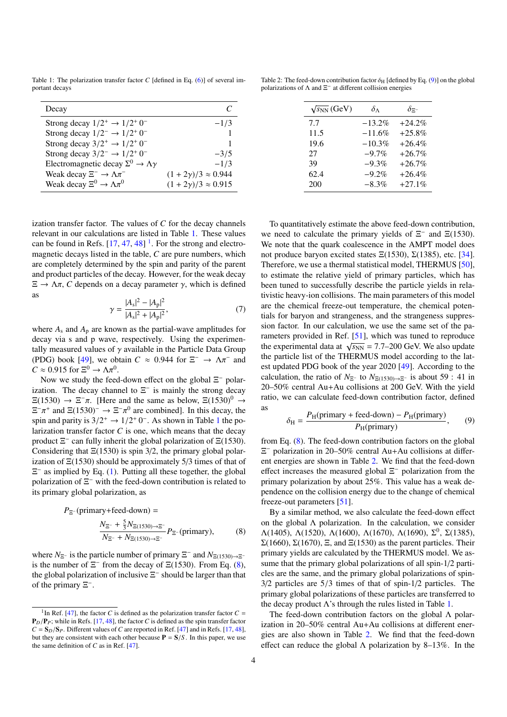<span id="page-3-0"></span>Table 1: The polarization transfer factor *C* [defined in Eq. [\(6\)](#page-2-2)] of several important decays

| Decay                                                       |                                 |
|-------------------------------------------------------------|---------------------------------|
| Strong decay $1/2^+ \rightarrow 1/2^+ 0^-$                  | $-1/3$                          |
| Strong decay $1/2^- \rightarrow 1/2^+ 0^-$                  |                                 |
| Strong decay $3/2^+ \rightarrow 1/2^+ 0^-$                  |                                 |
| Strong decay $3/2^- \rightarrow 1/2^+ 0^-$                  | $-3/5$                          |
| Electromagnetic decay $\Sigma^0 \rightarrow \Lambda \gamma$ | $-1/3$                          |
| Weak decay $\Xi^- \to \Lambda \pi^-$                        | $(1 + 2\gamma)/3 \approx 0.944$ |
| Weak decay $\Xi^0 \to \Lambda \pi^0$                        | $(1 + 2\gamma)/3 \approx 0.915$ |
|                                                             |                                 |

ization transfer factor. The values of *C* for the decay channels relevant in our calculations are listed in Table [1.](#page-3-0) These values can be found in Refs.  $[17, 47, 48]$  $[17, 47, 48]$  $[17, 47, 48]$  $[17, 47, 48]$  $[17, 47, 48]$ <sup>[1](#page-3-1)</sup>. For the strong and electromagnetic decays listed in the table, *C* are pure numbers, which are completely determined by the spin and parity of the parent and product particles of the decay. However, for the weak decay  $\Xi \to \Lambda \pi$ , *C* depends on a decay parameter  $\gamma$ , which is defined as

$$
\gamma = \frac{|A_{\rm s}|^2 - |A_{\rm p}|^2}{|A_{\rm s}|^2 + |A_{\rm p}|^2},\tag{7}
$$

where  $A_s$  and  $A_p$  are known as the partial-wave amplitudes for decay via s and p wave, respectively. Using the experimentally measured values of  $\gamma$  available in the Particle Data Group (PDG) book [\[49\]](#page-5-20), we obtain  $C \approx 0.944$  for  $\Xi^- \to \Lambda \pi^-$  and  $C \approx 0.915$  for  $\Xi^0 \to \Lambda \pi^0$  $C \approx 0.915$  for  $\Xi^0 \to \Lambda \pi^0$ .<br>Now we study the feed

Now we study the feed-down effect on the global  $\Xi^-$  polarization. The decay channel to  $\Xi^-$  is mainly the strong decay  $\Xi(1530) \rightarrow \Xi^-\pi$ . [Here and the same as below,  $\Xi(1530)^0 \rightarrow \Xi^-\pi^+$  and  $\Xi(1530)^-\rightarrow \Xi^-\pi^0$  are combined. In this decay, the  $\Xi^{-}\pi^{+}$  and  $\Xi(1530)^{-} \to \Xi^{-}\pi^{0}$  are combined]. In this decay, the  $\frac{1}{2}$  $\frac{1}{2}$  $\frac{1}{2}$  in the contract of the contract of the po-<br>spin and parity is  $3/2^+ \rightarrow 1/2^+ 0^-$ . As shown in Table 1 the po-<br>larization transfer factor C is one, which means that the decay larization transfer factor  $C$  is one, which means that the decay product  $\Xi^-$  can fully inherit the global polarization of  $\Xi(1530)$ . Considering that  $\Xi(1530)$  is spin 3/2, the primary global polarization of  $\Xi(1530)$  should be approximately 5/3 times of that of  $\Xi^-$  as implied by Eq. [\(1\)](#page-0-0). Putting all these together, the global polarization of  $\Xi^-$  with the feed-down contribution is related to its primary global polarization, as

$$
P_{\Xi^-}(\text{primary}+\text{feed-down}) =
$$
  

$$
\frac{N_{\Xi^-} + \frac{5}{3}N_{\Xi(1530)\to\Xi^-}}{N_{\Xi^-} + N_{\Xi(1530)\to\Xi^-}}P_{\Xi^-}(\text{primary}),
$$
 (8)

where  $N_{\Xi^-}$  is the particle number of primary  $\Xi^-$  and  $N_{\Xi(1530)\to\Xi^-}$ is the number of  $\Xi^-$  from the decay of  $\Xi(1530)$ . From Eq. [\(8\)](#page-3-2), the global polarization of inclusive  $\Xi^-$  should be larger than that of the primary  $\Xi^-$ .

<span id="page-3-4"></span>Table 2: The feed-down contribution factor  $\delta_H$  [defined by Eq. [\(9\)](#page-3-3)] on the global polarizations of  $\Lambda$  and  $\Xi^-$  at different collision energies

| $\sqrt{s_{NN}}$ (GeV) | $\delta_{\Lambda}$ | $\delta$ =- |
|-----------------------|--------------------|-------------|
| 7.7                   | $-13.2\%$          | $+24.2\%$   |
| 11.5                  | $-11.6%$           | $+25.8%$    |
| 19.6                  | $-10.3%$           | $+26.4\%$   |
| 27                    | $-9.7%$            | $+26.7%$    |
| 39                    | $-9.3%$            | $+26.7%$    |
| 62.4                  | $-9.2%$            | $+26.4%$    |
| 200                   | $-8.3\%$           | $+27.1%$    |
|                       |                    |             |

To quantitatively estimate the above feed-down contribution, we need to calculate the primary yields of  $\Xi^-$  and  $\Xi(1530)$ . We note that the quark coalescence in the AMPT model does not produce baryon excited states  $E(1530)$ ,  $\Sigma(1385)$ , etc. [\[34\]](#page-5-5). Therefore, we use a thermal statistical model, THERMUS [\[50\]](#page-5-21), to estimate the relative yield of primary particles, which has been tuned to successfully describe the particle yields in relativistic heavy-ion collisions. The main parameters of this model are the chemical freeze-out temperature, the chemical potentials for baryon and strangeness, and the strangeness suppression factor. In our calculation, we use the same set of the parameters provided in Ref. [\[51\]](#page-5-22), which was tuned to reproduce the experimental data at  $\sqrt{s_{NN}}$  = 7.7–200 GeV. We also update the particle list of the THERMUS model according to the latest updated PDG book of the year 2020 [\[49\]](#page-5-20). According to the calculation, the ratio of  $N_{\Xi^-}$  to  $N_{\Xi(1530)\to\Sigma^-}$  is about 59 : 41 in 20–50% central Au+Au collisions at 200 GeV. With the yield ratio, we can calculate feed-down contribution factor, defined as

<span id="page-3-3"></span>
$$
\delta_{\rm H} = \frac{P_{\rm H}(\text{primary} + \text{feed-down}) - P_{\rm H}(\text{primary})}{P_{\rm H}(\text{primary})},\qquad(9)
$$

from Eq. [\(8\)](#page-3-2). The feed-down contribution factors on the global Ξ <sup>−</sup> polarization in 20–50% central Au+Au collisions at different energies are shown in Table [2.](#page-3-4) We find that the feed-down effect increases the measured global  $\Xi^-$  polarization from the primary polarization by about 25%. This value has a weak dependence on the collision energy due to the change of chemical freeze-out parameters [\[51\]](#page-5-22).

<span id="page-3-2"></span>By a similar method, we also calculate the feed-down effect on the global  $\Lambda$  polarization. In the calculation, we consider  $Λ(1405)$ ,  $Λ(1520)$ ,  $Λ(1600)$ ,  $Λ(1670)$ ,  $Λ(1690)$ ,  $Σ<sup>0</sup>$ ,  $Σ(1385)$ , Σ(1660), Σ(1670), Ξ, and Ξ(1530) as the parent particles. Their primary yields are calculated by the THERMUS model. We assume that the primary global polarizations of all spin-1/2 particles are the same, and the primary global polarizations of spin-<sup>3</sup>/2 particles are 5/3 times of that of spin-1/2 particles. The primary global polarizations of these particles are transferred to the decay product  $\Lambda$ 's through the rules listed in Table [1.](#page-3-0)

The feed-down contribution factors on the global Λ polarization in 20–50% central Au+Au collisions at different energies are also shown in Table [2.](#page-3-4) We find that the feed-down effect can reduce the global  $\Lambda$  polarization by 8–13%. In the

<span id="page-3-1"></span><sup>&</sup>lt;sup>1</sup>In Ref. [\[47\]](#page-5-18), the factor *C* is defined as the polarization transfer factor  $C =$  $P_D/P_P$ ; while in Refs. [\[17,](#page-4-10) [48\]](#page-5-19), the factor *C* is defined as the spin transfer factor  $C = S_D/S_P$ . Different values of *C* are reported in Ref. [\[47\]](#page-5-18) and in Refs. [\[17,](#page-4-10) [48\]](#page-5-19), but they are consistent with each other because  $P = S/S$ . In this paper, we use the same definition of *C* as in Ref. [\[47\]](#page-5-18).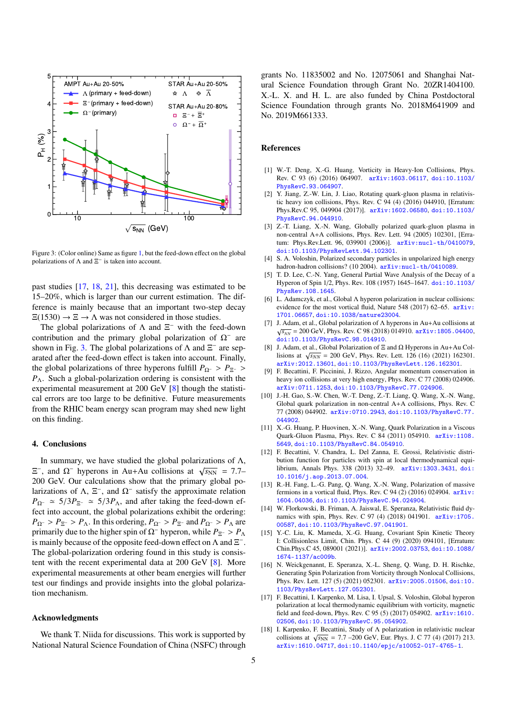

<span id="page-4-13"></span>Figure 3: (Color online) Same as figure [1,](#page-1-2) but the feed-down effect on the global polarizations of  $\Lambda$  and  $\Xi^-$  is taken into account.

past studies [\[17,](#page-4-10) [18,](#page-4-11) [21\]](#page-5-1), this decreasing was estimated to be 15–20%, which is larger than our current estimation. The difference is mainly because that an important two-step decay  $\Xi(1530) \rightarrow \Xi \rightarrow \Lambda$  was not considered in those studies.

The global polarizations of  $\Lambda$  and  $\Xi^-$  with the feed-down contribution and the primary global polarization of  $\Omega^-$  are shown in Fig. [3.](#page-4-13) The global polarizations of  $\Lambda$  and  $\Xi^-$  are separated after the feed-down effect is taken into account. Finally, the global polarizations of three hyperons fulfill  $P_{\Omega^-} > P_{\Xi^-} >$ *P*Λ. Such a global-polarization ordering is consistent with the experimental measurement at 200 GeV [\[8\]](#page-4-7) though the statistical errors are too large to be definitive. Future measurements from the RHIC beam energy scan program may shed new light on this finding.

### <span id="page-4-12"></span>4. Conclusions

In summary, we have studied the global polarizations of  $\Lambda$ , In summary, we have sudded the global potarizations of Λ,<br>E<sup>-</sup>, and Ω<sup>-</sup> hyperons in Au+Au collisions at  $\sqrt{s_{NN}}$  = 7.7– 200 GeV. Our calculations show that the primary global polarizations of  $\Lambda$ ,  $\Xi^-$ , and  $\Omega^-$  satisfy the approximate relation  $P_{\Omega^{-}} \approx 5/3P_{\Xi^{-}} \approx 5/3P_{\Lambda}$ , and after taking the feed-down effect into account, the global polarizations exhibit the ordering:  $P_{\Omega^-} > P_{\Xi^-} > P_{\Lambda}$ . In this ordering,  $P_{\Omega^-} > P_{\Xi^-}$  and  $P_{\Omega^-} > P_{\Lambda}$  are primarily due to the higher spin of  $\Omega^-$  hyperon, while  $P_{\Xi^-} > P_{\Lambda}$ is mainly because of the opposite feed-down effect on  $\Lambda$  and  $\Xi^-$ . The global-polarization ordering found in this study is consistent with the recent experimental data at 200 GeV [\[8\]](#page-4-7). More experimental measurements at other beam energies will further test our findings and provide insights into the global polarization mechanism.

## Acknowledgments

We thank T. Niida for discussions. This work is supported by National Natural Science Foundation of China (NSFC) through grants No. 11835002 and No. 12075061 and Shanghai Natural Science Foundation through Grant No. 20ZR1404100. X.-L. X. and H. L. are also funded by China Postdoctoral Science Foundation through grants No. 2018M641909 and No. 2019M661333.

#### References

- <span id="page-4-0"></span>[1] W.-T. Deng, X.-G. Huang, Vorticity in Heavy-Ion Collisions, Phys. Rev. C 93 (6) (2016) 064907. [arXiv:1603.06117](http://arxiv.org/abs/1603.06117), [doi:10.1103/](https://doi.org/10.1103/PhysRevC.93.064907) [PhysRevC.93.064907](https://doi.org/10.1103/PhysRevC.93.064907).
- <span id="page-4-1"></span>[2] Y. Jiang, Z.-W. Lin, J. Liao, Rotating quark-gluon plasma in relativistic heavy ion collisions, Phys. Rev. C 94 (4) (2016) 044910, [Erratum: Phys.Rev.C 95, 049904 (2017)]. [arXiv:1602.06580](http://arxiv.org/abs/1602.06580), [doi:10.1103/](https://doi.org/10.1103/PhysRevC.94.044910) [PhysRevC.94.044910](https://doi.org/10.1103/PhysRevC.94.044910).
- <span id="page-4-2"></span>[3] Z.-T. Liang, X.-N. Wang, Globally polarized quark-gluon plasma in non-central A+A collisions, Phys. Rev. Lett. 94 (2005) 102301, [Erratum: Phys.Rev.Lett. 96, 039901 (2006)]. [arXiv:nucl-th/0410079](http://arxiv.org/abs/nucl-th/0410079), [doi:10.1103/PhysRevLett.94.102301](https://doi.org/10.1103/PhysRevLett.94.102301).
- <span id="page-4-3"></span>[4] S. A. Voloshin, Polarized secondary particles in unpolarized high energy hadron-hadron collisions? (10 2004). [arXiv:nucl-th/0410089](http://arxiv.org/abs/nucl-th/0410089).
- <span id="page-4-4"></span>[5] T. D. Lee, C.-N. Yang, General Partial Wave Analysis of the Decay of a Hyperon of Spin 1/2, Phys. Rev. 108 (1957) 1645–1647. [doi:10.1103/](https://doi.org/10.1103/PhysRev.108.1645) [PhysRev.108.1645](https://doi.org/10.1103/PhysRev.108.1645).
- <span id="page-4-5"></span>[6] L. Adamczyk, et al., Global Λ hyperon polarization in nuclear collisions: evidence for the most vortical fluid, Nature 548 (2017) 62–65. [arXiv:](http://arxiv.org/abs/1701.06657) [1701.06657](http://arxiv.org/abs/1701.06657), [doi:10.1038/nature23004](https://doi.org/10.1038/nature23004).
- <span id="page-4-6"></span>[7] J. Adam, et al., Global polarization of Λ hyperons in Au+Au collisions at  $\sqrt{s_{NN}}$  = 200 GeV, Phys. Rev. C 98 (2018) 014910. [arXiv:1805.04400](http://arxiv.org/abs/1805.04400), [doi:10.1103/PhysRevC.98.014910](https://doi.org/10.1103/PhysRevC.98.014910).
- <span id="page-4-7"></span>[8] J. Adam, et al., Global Polarization of Ξ and Ω Hyperons in Au+Au Col-*S*. Addit, et al., Global 1 blatization of  $\Xi$  and  $\Omega$  1 fyperolis in Au+Au Collisions at  $\sqrt{s_{NN}}$  = 200 GeV, Phys. Rev. Lett. 126 (16) (2021) 162301. [arXiv:2012.13601](http://arxiv.org/abs/2012.13601), [doi:10.1103/PhysRevLett.126.162301](https://doi.org/10.1103/PhysRevLett.126.162301).
- <span id="page-4-8"></span>[9] F. Becattini, F. Piccinini, J. Rizzo, Angular momentum conservation in heavy ion collisions at very high energy, Phys. Rev. C 77 (2008) 024906. [arXiv:0711.1253](http://arxiv.org/abs/0711.1253), [doi:10.1103/PhysRevC.77.024906](https://doi.org/10.1103/PhysRevC.77.024906).
- [10] J.-H. Gao, S.-W. Chen, W.-T. Deng, Z.-T. Liang, Q. Wang, X.-N. Wang, Global quark polarization in non-central A+A collisions, Phys. Rev. C 77 (2008) 044902. [arXiv:0710.2943](http://arxiv.org/abs/0710.2943), [doi:10.1103/PhysRevC.77.](https://doi.org/10.1103/PhysRevC.77.044902) [044902](https://doi.org/10.1103/PhysRevC.77.044902).
- [11] X.-G. Huang, P. Huovinen, X.-N. Wang, Quark Polarization in a Viscous Quark-Gluon Plasma, Phys. Rev. C 84 (2011) 054910. [arXiv:1108.](http://arxiv.org/abs/1108.5649) [5649](http://arxiv.org/abs/1108.5649), [doi:10.1103/PhysRevC.84.054910](https://doi.org/10.1103/PhysRevC.84.054910).
- [12] F. Becattini, V. Chandra, L. Del Zanna, E. Grossi, Relativistic distribution function for particles with spin at local thermodynamical equilibrium, Annals Phys. 338 (2013) 32–49. [arXiv:1303.3431](http://arxiv.org/abs/1303.3431), [doi:](https://doi.org/10.1016/j.aop.2013.07.004) [10.1016/j.aop.2013.07.004](https://doi.org/10.1016/j.aop.2013.07.004).
- [13] R.-H. Fang, L.-G. Pang, Q. Wang, X.-N. Wang, Polarization of massive fermions in a vortical fluid, Phys. Rev. C 94 (2) (2016) 024904. [arXiv:](http://arxiv.org/abs/1604.04036) [1604.04036](http://arxiv.org/abs/1604.04036), [doi:10.1103/PhysRevC.94.024904](https://doi.org/10.1103/PhysRevC.94.024904).
- [14] W. Florkowski, B. Friman, A. Jaiswal, E. Speranza, Relativistic fluid dynamics with spin, Phys. Rev. C 97 (4) (2018) 041901. [arXiv:1705.](http://arxiv.org/abs/1705.00587) [00587](http://arxiv.org/abs/1705.00587), [doi:10.1103/PhysRevC.97.041901](https://doi.org/10.1103/PhysRevC.97.041901).
- [15] Y.-C. Liu, K. Mameda, X.-G. Huang, Covariant Spin Kinetic Theory I: Collisionless Limit, Chin. Phys. C 44 (9) (2020) 094101, [Erratum: Chin.Phys.C 45, 089001 (2021)]. [arXiv:2002.03753](http://arxiv.org/abs/2002.03753), [doi:10.1088/](https://doi.org/10.1088/1674-1137/ac009b) [1674-1137/ac009b](https://doi.org/10.1088/1674-1137/ac009b).
- <span id="page-4-9"></span>[16] N. Weickgenannt, E. Speranza, X.-L. Sheng, Q. Wang, D. H. Rischke, Generating Spin Polarization from Vorticity through Nonlocal Collisions, Phys. Rev. Lett. 127 (5) (2021) 052301. [arXiv:2005.01506](http://arxiv.org/abs/2005.01506), [doi:10.](https://doi.org/10.1103/PhysRevLett.127.052301) [1103/PhysRevLett.127.052301](https://doi.org/10.1103/PhysRevLett.127.052301).
- <span id="page-4-10"></span>[17] F. Becattini, I. Karpenko, M. Lisa, I. Upsal, S. Voloshin, Global hyperon polarization at local thermodynamic equilibrium with vorticity, magnetic field and feed-down, Phys. Rev. C 95 (5) (2017) 054902. [arXiv:1610.](http://arxiv.org/abs/1610.02506) [02506](http://arxiv.org/abs/1610.02506), [doi:10.1103/PhysRevC.95.054902](https://doi.org/10.1103/PhysRevC.95.054902).
- <span id="page-4-11"></span>[18] I. Karpenko, F. Becattini, Study of Λ polarization in relativistic nuclear collisions at  $\sqrt{3NN} = 7.7 - 200 \text{ GeV}$ , Eur. Phys. J. C 77 (4) (2017) 213.<br>collisions at  $\sqrt{3NN} = 7.7 - 200 \text{ GeV}$ , Eur. Phys. J. C 77 (4) (2017) 213. [arXiv:1610.04717](http://arxiv.org/abs/1610.04717), [doi:10.1140/epjc/s10052-017-4765-1](https://doi.org/10.1140/epjc/s10052-017-4765-1).